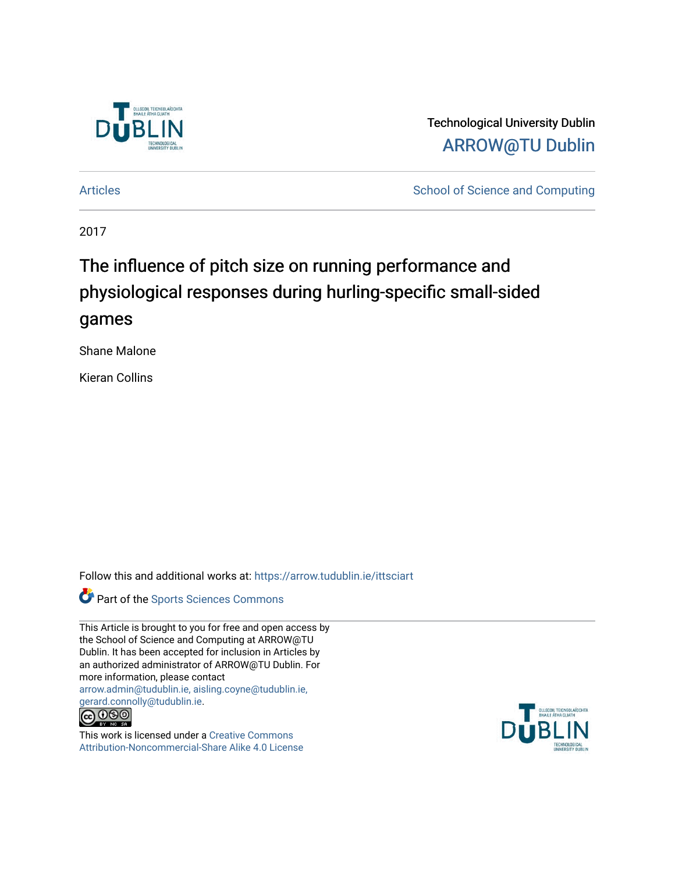

Technological University Dublin [ARROW@TU Dublin](https://arrow.tudublin.ie/) 

[Articles](https://arrow.tudublin.ie/ittsciart) **School of Science and Computing** 

2017

# The influence of pitch size on running performance and physiological responses during hurling-specific small-sided games

Shane Malone

Kieran Collins

Follow this and additional works at: [https://arrow.tudublin.ie/ittsciart](https://arrow.tudublin.ie/ittsciart?utm_source=arrow.tudublin.ie%2Fittsciart%2F119&utm_medium=PDF&utm_campaign=PDFCoverPages)



This Article is brought to you for free and open access by the School of Science and Computing at ARROW@TU Dublin. It has been accepted for inclusion in Articles by an authorized administrator of ARROW@TU Dublin. For more information, please contact [arrow.admin@tudublin.ie, aisling.coyne@tudublin.ie,](mailto:arrow.admin@tudublin.ie,%20aisling.coyne@tudublin.ie,%20gerard.connolly@tudublin.ie)  [gerard.connolly@tudublin.ie](mailto:arrow.admin@tudublin.ie,%20aisling.coyne@tudublin.ie,%20gerard.connolly@tudublin.ie).



This work is licensed under a [Creative Commons](http://creativecommons.org/licenses/by-nc-sa/4.0/) [Attribution-Noncommercial-Share Alike 4.0 License](http://creativecommons.org/licenses/by-nc-sa/4.0/)

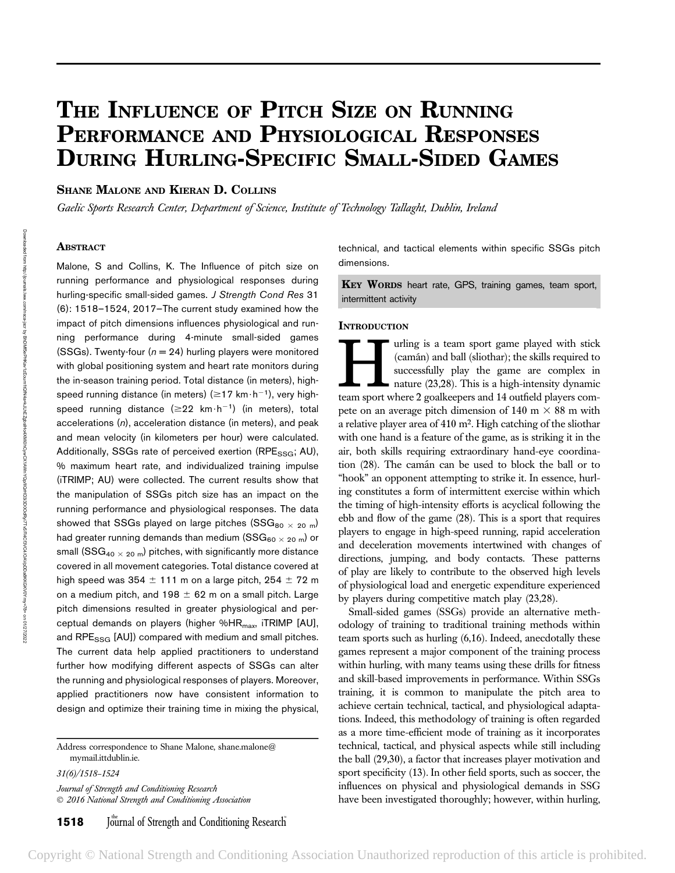# THE INFLUENCE OF PITCH SIZE ON RUNNING PERFORMANCE AND PHYSIOLOGICAL RESPONSES DURING HURLING-SPECIFIC SMALL-SIDED GAMES

# SHANE MALONE AND KIERAN D. COLLINS

Gaelic Sports Research Center, Department of Science, Institute of Technology Tallaght, Dublin, Ireland

# **ABSTRACT**

Malone, S and Collins, K. The Influence of pitch size on running performance and physiological responses during hurling-specific small-sided games. J Strength Cond Res 31 (6): 1518–1524, 2017—The current study examined how the impact of pitch dimensions influences physiological and running performance during 4-minute small-sided games (SSGs). Twenty-four ( $n = 24$ ) hurling players were monitored with global positioning system and heart rate monitors during the in-season training period. Total distance (in meters), highspeed running distance (in meters) ( $\geq$ 17 km $\cdot$ h<sup>-1</sup>), very highspeed running distance ( $\geq$ 22 km $\cdot$ h<sup>-1</sup>) (in meters), total accelerations (n), acceleration distance (in meters), and peak and mean velocity (in kilometers per hour) were calculated. Additionally, SSGs rate of perceived exertion (RPE $_{SSG}$ ; AU), % maximum heart rate, and individualized training impulse (iTRIMP; AU) were collected. The current results show that the manipulation of SSGs pitch size has an impact on the running performance and physiological responses. The data showed that SSGs played on large pitches (SSG<sub>80  $\times$  20 m</sub>) had greater running demands than medium (SSG $_{60}$   $_{\times}$   $_{20}$  m) or small (SSG<sub>40  $\times$  20 m)</sub> pitches, with significantly more distance covered in all movement categories. Total distance covered at high speed was 354  $\pm$  111 m on a large pitch, 254  $\pm$  72 m on a medium pitch, and  $198 \pm 62$  m on a small pitch. Large pitch dimensions resulted in greater physiological and perceptual demands on players (higher %HR<sub>max</sub>, iTRIMP [AU], and RPE<sub>SSG</sub> [AU]) compared with medium and small pitches. The current data help applied practitioners to understand further how modifying different aspects of SSGs can alter the running and physiological responses of players. Moreover, applied practitioners now have consistent information to design and optimize their training time in mixing the physical,

Address correspondence to Shane Malone, shane.malone@ mymail.ittdublin.ie.

31(6)/1518–1524

Journal of Strength and Conditioning Research 2016 National Strength and Conditioning Association technical, and tactical elements within specific SSGs pitch dimensions.

KEY WORDS heart rate, GPS, training games, team sport, intermittent activity

# **INTRODUCTION**

Turling is a team sport game played with stick<br>(camán) and ball (sliothar); the skills required to<br>successfully play the game are complex in<br>nature (23,28). This is a high-intensity dynamic<br>team sport where 2 coalkeepers a (camán) and ball (sliothar); the skills required to successfully play the game are complex in nature (23,28). This is a high-intensity dynamic team sport where 2 goalkeepers and 14 outfield players compete on an average pitch dimension of 140 m  $\times$  88 m with a relative player area of 410 m2. High catching of the sliothar with one hand is a feature of the game, as is striking it in the air, both skills requiring extraordinary hand-eye coordination (28). The caman can be used to block the ball or to "hook" an opponent attempting to strike it. In essence, hurling constitutes a form of intermittent exercise within which the timing of high-intensity efforts is acyclical following the ebb and flow of the game (28). This is a sport that requires players to engage in high-speed running, rapid acceleration and deceleration movements intertwined with changes of directions, jumping, and body contacts. These patterns of play are likely to contribute to the observed high levels of physiological load and energetic expenditure experienced by players during competitive match play (23,28).

Small-sided games (SSGs) provide an alternative methodology of training to traditional training methods within team sports such as hurling (6,16). Indeed, anecdotally these games represent a major component of the training process within hurling, with many teams using these drills for fitness and skill-based improvements in performance. Within SSGs training, it is common to manipulate the pitch area to achieve certain technical, tactical, and physiological adaptations. Indeed, this methodology of training is often regarded as a more time-efficient mode of training as it incorporates technical, tactical, and physical aspects while still including the ball (29,30), a factor that increases player motivation and sport specificity (13). In other field sports, such as soccer, the influences on physical and physiological demands in SSG have been investigated thoroughly; however, within hurling,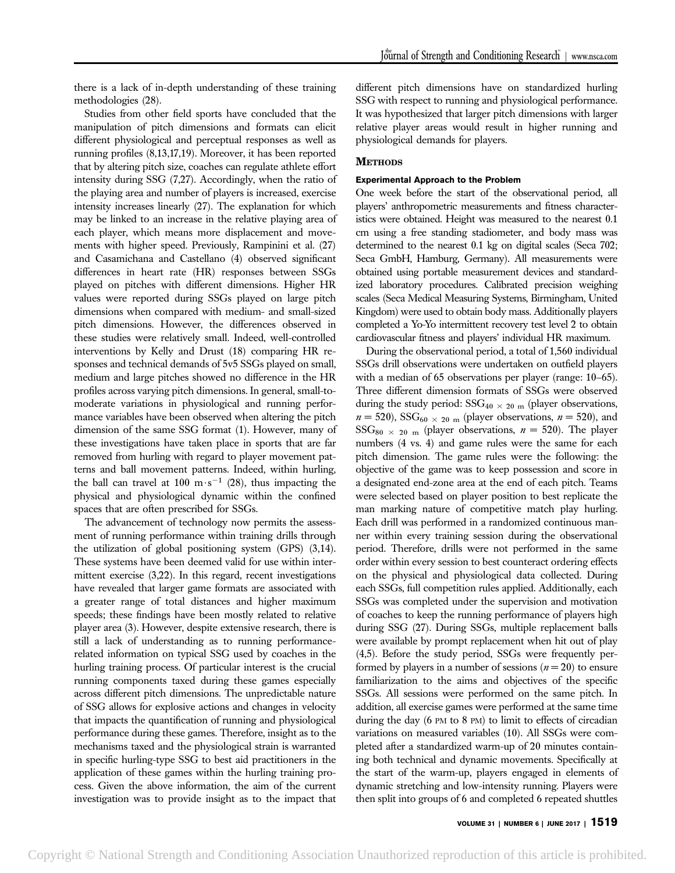there is a lack of in-depth understanding of these training methodologies (28).

Studies from other field sports have concluded that the manipulation of pitch dimensions and formats can elicit different physiological and perceptual responses as well as running profiles (8,13,17,19). Moreover, it has been reported that by altering pitch size, coaches can regulate athlete effort intensity during SSG (7,27). Accordingly, when the ratio of the playing area and number of players is increased, exercise intensity increases linearly (27). The explanation for which may be linked to an increase in the relative playing area of each player, which means more displacement and movements with higher speed. Previously, Rampinini et al. (27) and Casamichana and Castellano (4) observed significant differences in heart rate (HR) responses between SSGs played on pitches with different dimensions. Higher HR values were reported during SSGs played on large pitch dimensions when compared with medium- and small-sized pitch dimensions. However, the differences observed in these studies were relatively small. Indeed, well-controlled interventions by Kelly and Drust (18) comparing HR responses and technical demands of 5v5 SSGs played on small, medium and large pitches showed no difference in the HR profiles across varying pitch dimensions. In general, small-tomoderate variations in physiological and running performance variables have been observed when altering the pitch dimension of the same SSG format (1). However, many of these investigations have taken place in sports that are far removed from hurling with regard to player movement patterns and ball movement patterns. Indeed, within hurling, the ball can travel at 100 m $\cdot$ s<sup>-1</sup> (28), thus impacting the physical and physiological dynamic within the confined spaces that are often prescribed for SSGs.

The advancement of technology now permits the assessment of running performance within training drills through the utilization of global positioning system (GPS) (3,14). These systems have been deemed valid for use within intermittent exercise (3,22). In this regard, recent investigations have revealed that larger game formats are associated with a greater range of total distances and higher maximum speeds; these findings have been mostly related to relative player area (3). However, despite extensive research, there is still a lack of understanding as to running performancerelated information on typical SSG used by coaches in the hurling training process. Of particular interest is the crucial running components taxed during these games especially across different pitch dimensions. The unpredictable nature of SSG allows for explosive actions and changes in velocity that impacts the quantification of running and physiological performance during these games. Therefore, insight as to the mechanisms taxed and the physiological strain is warranted in specific hurling-type SSG to best aid practitioners in the application of these games within the hurling training process. Given the above information, the aim of the current investigation was to provide insight as to the impact that different pitch dimensions have on standardized hurling SSG with respect to running and physiological performance. It was hypothesized that larger pitch dimensions with larger relative player areas would result in higher running and physiological demands for players.

## **METHODS**

One week before the start of the observational period, all players' anthropometric measurements and fitness characteristics were obtained. Height was measured to the nearest 0.1 cm using a free standing stadiometer, and body mass was determined to the nearest 0.1 kg on digital scales (Seca 702; Seca GmbH, Hamburg, Germany). All measurements were obtained using portable measurement devices and standardized laboratory procedures. Calibrated precision weighing scales (Seca Medical Measuring Systems, Birmingham, United Kingdom) were used to obtain body mass. Additionally players completed a Yo-Yo intermittent recovery test level 2 to obtain cardiovascular fitness and players' individual HR maximum.

During the observational period, a total of 1,560 individual SSGs drill observations were undertaken on outfield players with a median of 65 observations per player (range: 10–65). Three different dimension formats of SSGs were observed during the study period:  $SSG_{40} \times 20$  m (player observations,  $n = 520$ , SSG<sub>60</sub>  $\times$  20 m (player observations,  $n = 520$ ), and SSG<sub>80</sub>  $\times$  20 m (player observations,  $n = 520$ ). The player numbers (4 vs. 4) and game rules were the same for each pitch dimension. The game rules were the following: the objective of the game was to keep possession and score in a designated end-zone area at the end of each pitch. Teams were selected based on player position to best replicate the man marking nature of competitive match play hurling. Each drill was performed in a randomized continuous manner within every training session during the observational period. Therefore, drills were not performed in the same order within every session to best counteract ordering effects on the physical and physiological data collected. During each SSGs, full competition rules applied. Additionally, each SSGs was completed under the supervision and motivation of coaches to keep the running performance of players high during SSG (27). During SSGs, multiple replacement balls were available by prompt replacement when hit out of play (4,5). Before the study period, SSGs were frequently performed by players in a number of sessions  $(n = 20)$  to ensure familiarization to the aims and objectives of the specific SSGs. All sessions were performed on the same pitch. In addition, all exercise games were performed at the same time during the day (6 PM to 8 PM) to limit to effects of circadian variations on measured variables (10). All SSGs were completed after a standardized warm-up of 20 minutes containing both technical and dynamic movements. Specifically at the start of the warm-up, players engaged in elements of dynamic stretching and low-intensity running. Players were then split into groups of 6 and completed 6 repeated shuttles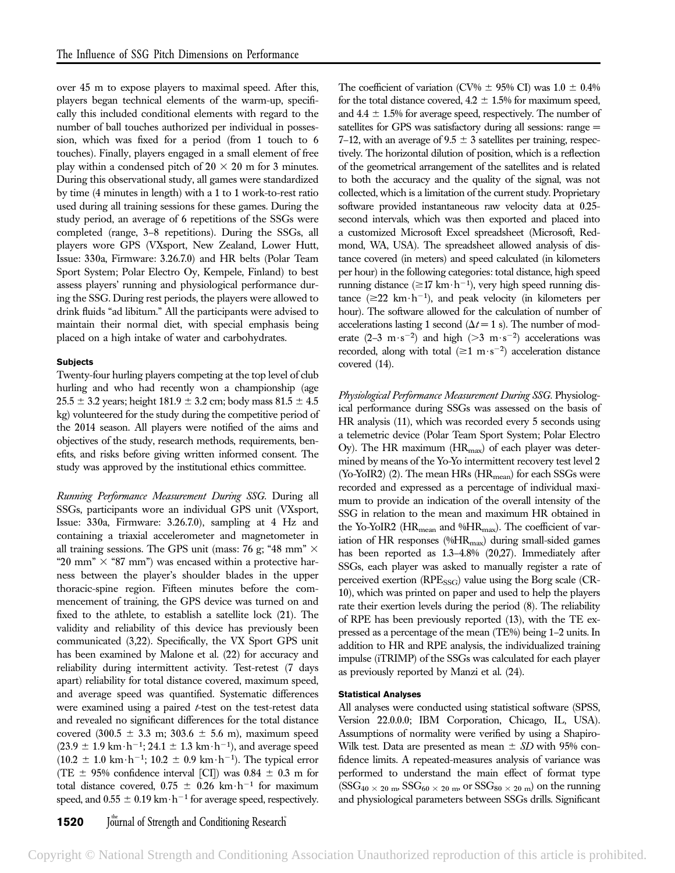over 45 m to expose players to maximal speed. After this, players began technical elements of the warm-up, specifically this included conditional elements with regard to the number of ball touches authorized per individual in possession, which was fixed for a period (from 1 touch to 6 touches). Finally, players engaged in a small element of free play within a condensed pitch of  $20 \times 20$  m for 3 minutes. During this observational study, all games were standardized by time (4 minutes in length) with a 1 to 1 work-to-rest ratio used during all training sessions for these games. During the study period, an average of 6 repetitions of the SSGs were completed (range, 3–8 repetitions). During the SSGs, all players wore GPS (VXsport, New Zealand, Lower Hutt, Issue: 330a, Firmware: 3.26.7.0) and HR belts (Polar Team Sport System; Polar Electro Oy, Kempele, Finland) to best assess players' running and physiological performance during the SSG. During rest periods, the players were allowed to drink fluids "ad libitum." All the participants were advised to maintain their normal diet, with special emphasis being placed on a high intake of water and carbohydrates.

Twenty-four hurling players competing at the top level of club hurling and who had recently won a championship (age  $25.5 \pm 3.2$  years; height  $181.9 \pm 3.2$  cm; body mass  $81.5 \pm 4.5$ kg) volunteered for the study during the competitive period of the 2014 season. All players were notified of the aims and objectives of the study, research methods, requirements, benefits, and risks before giving written informed consent. The study was approved by the institutional ethics committee.

Running Performance Measurement During SSG. During all SSGs, participants wore an individual GPS unit (VXsport, Issue: 330a, Firmware: 3.26.7.0), sampling at 4 Hz and containing a triaxial accelerometer and magnetometer in all training sessions. The GPS unit (mass: 76 g; "48 mm"  $\times$ "20 mm"  $\times$  "87 mm") was encased within a protective harness between the player's shoulder blades in the upper thoracic-spine region. Fifteen minutes before the commencement of training, the GPS device was turned on and fixed to the athlete, to establish a satellite lock (21). The validity and reliability of this device has previously been communicated (3,22). Specifically, the VX Sport GPS unit has been examined by Malone et al. (22) for accuracy and reliability during intermittent activity. Test-retest (7 days apart) reliability for total distance covered, maximum speed, and average speed was quantified. Systematic differences were examined using a paired *t*-test on the test-retest data and revealed no significant differences for the total distance covered (300.5  $\pm$  3.3 m; 303.6  $\pm$  5.6 m), maximum speed  $(23.9 \pm 1.9 \text{ km} \cdot \text{h}^{-1}; 24.1 \pm 1.3 \text{ km} \cdot \text{h}^{-1})$ , and average speed  $(10.2 \pm 1.0 \text{ km} \cdot \text{h}^{-1}; 10.2 \pm 0.9 \text{ km} \cdot \text{h}^{-1})$ . The typical error (TE  $\pm$  95% confidence interval [CI]) was 0.84  $\pm$  0.3 m for total distance covered,  $0.75 \pm 0.26$  km $\cdot$ h<sup>-1</sup> for maximum speed, and  $0.55 \pm 0.19$  km $\cdot$ h<sup>-1</sup> for average speed, respectively.

# **1520** Journal of Strength and Conditioning Research

The coefficient of variation (CV%  $\pm$  95% CI) was 1.0  $\pm$  0.4% for the total distance covered,  $4.2 \pm 1.5\%$  for maximum speed, and  $4.4 \pm 1.5\%$  for average speed, respectively. The number of satellites for GPS was satisfactory during all sessions: range = 7–12, with an average of  $9.5 \pm 3$  satellites per training, respectively. The horizontal dilution of position, which is a reflection of the geometrical arrangement of the satellites and is related to both the accuracy and the quality of the signal, was not collected, which is a limitation of the current study. Proprietary software provided instantaneous raw velocity data at 0.25 second intervals, which was then exported and placed into a customized Microsoft Excel spreadsheet (Microsoft, Redmond, WA, USA). The spreadsheet allowed analysis of distance covered (in meters) and speed calculated (in kilometers per hour) in the following categories: total distance, high speed running distance ( $\geq$ 17 km·h<sup>-1</sup>), very high speed running distance ( $\geq$ 22 km·h<sup>-1</sup>), and peak velocity (in kilometers per hour). The software allowed for the calculation of number of accelerations lasting 1 second  $(\Delta t = 1 \text{ s})$ . The number of moderate (2–3 m $\cdot$ s<sup>-2</sup>) and high (>3 m $\cdot$ s<sup>-2</sup>) accelerations was recorded, along with total  $(\geq 1 \text{ m}\cdot \text{s}^{-2})$  acceleration distance covered (14).

Physiological Performance Measurement During SSG. Physiological performance during SSGs was assessed on the basis of HR analysis (11), which was recorded every 5 seconds using a telemetric device (Polar Team Sport System; Polar Electro Oy). The HR maximum  $(HR_{\text{max}})$  of each player was determined by means of the Yo-Yo intermittent recovery test level 2 (Yo-YoIR2) (2). The mean HRs  $(HR_{mean})$  for each SSGs were recorded and expressed as a percentage of individual maximum to provide an indication of the overall intensity of the SSG in relation to the mean and maximum HR obtained in the Yo-YoIR2 (HR<sub>mean</sub> and %HR<sub>max</sub>). The coefficient of variation of HR responses (%HR<sub>max</sub>) during small-sided games has been reported as 1.3–4.8% (20,27). Immediately after SSGs, each player was asked to manually register a rate of perceived exertion (RPE<sub>SSG</sub>) value using the Borg scale (CR-10), which was printed on paper and used to help the players rate their exertion levels during the period (8). The reliability of RPE has been previously reported (13), with the TE expressed as a percentage of the mean (TE%) being 1–2 units. In addition to HR and RPE analysis, the individualized training impulse (iTRIMP) of the SSGs was calculated for each player as previously reported by Manzi et al. (24).

All analyses were conducted using statistical software (SPSS, Version 22.0.0.0; IBM Corporation, Chicago, IL, USA). Assumptions of normality were verified by using a Shapiro-Wilk test. Data are presented as mean  $\pm$  SD with 95% confidence limits. A repeated-measures analysis of variance was performed to understand the main effect of format type  $(SSG_{40} \times 20 \text{ m}$ ,  $SSG_{60} \times 20 \text{ m}$ , or  $SSG_{80} \times 20 \text{ m}$ ) on the running and physiological parameters between SSGs drills. Significant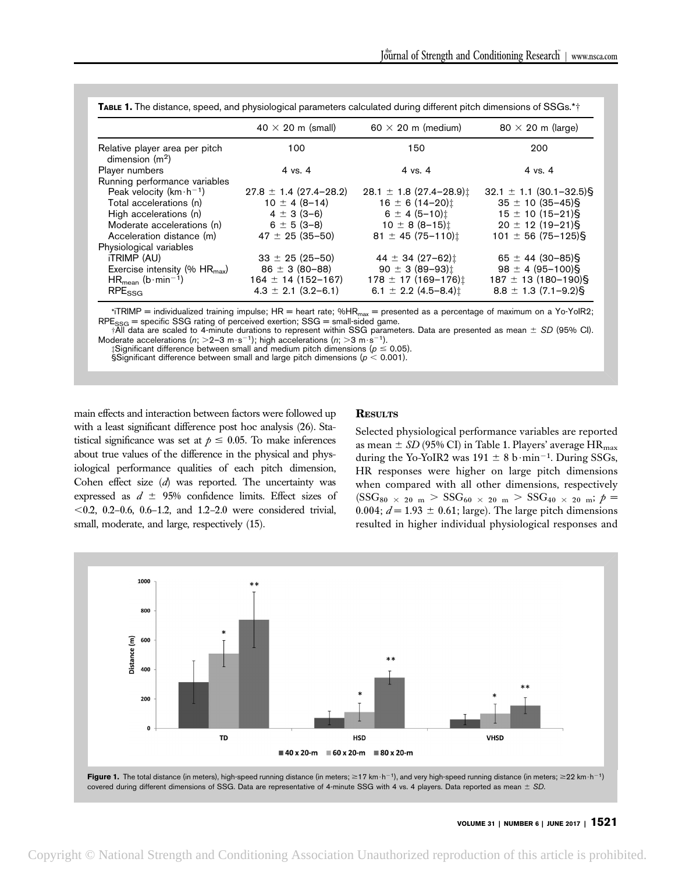|                                                    | $40 \times 20$ m (small)   | $60 \times 20$ m (medium)          | $80 \times 20$ m (large)    |
|----------------------------------------------------|----------------------------|------------------------------------|-----------------------------|
| Relative player area per pitch<br>dimension $(m2)$ | 100                        | 150                                | 200                         |
| Player numbers                                     | 4 vs. 4                    | 4 vs. 4                            | 4 vs. 4                     |
| Running performance variables                      |                            |                                    |                             |
| Peak velocity ( $km \cdot h^{-1}$ )                | $27.8 \pm 1.4$ (27.4-28.2) | $28.1 \pm 1.8 (27.4 - 28.9)$       | $32.1 \pm 1.1$ (30.1-32.5)§ |
| Total accelerations (n)                            | $10 \pm 4 (8 - 14)$        | $16 \pm 6$ (14-20) $\pm$           | $35 \pm 10 (35 - 45)$ §     |
| High accelerations (n)                             | $4 \pm 3(3-6)$             | $6 \pm 4 (5 - 10)$                 | $15 \pm 10$ (15-21)§        |
| Moderate accelerations (n)                         | $6 \pm 5(3-8)$             | $10 \pm 8 (8 - 15)$                | $20 \pm 12 (19 - 21)$ §     |
| Acceleration distance (m)                          | $47 \pm 25 (35 - 50)$      | $81 \pm 45 (75 - 110)$             | $101 \pm 56$ (75-125)§      |
| Physiological variables                            |                            |                                    |                             |
| <b>iTRIMP</b> (AU)                                 | $33 \pm 25 (25 - 50)$      | 44 $\pm$ 34 (27-62) $\pm$          | $65 \pm 44$ (30-85)§        |
| Exercise intensity (% $HR_{\text{max}}$ )          | $86 \pm 3 (80 - 88)$       | $90 \pm 3 (89 - 93)$               | $98 \pm 4 (95 - 100)$ §     |
| $HR_{mean}$ (b·min <sup>-1</sup> )                 | $164 \pm 14$ (152-167)     | $178 \pm 17 (169 - 176)$           | $187 \pm 13(180 - 190)\$    |
| $RPE_{SSG}$                                        | $4.3 \pm 2.1$ (3.2-6.1)    | 6.1 $\pm$ 2.2 (4.5-8.4) $\ddagger$ | $8.8 \pm 1.3$ (7.1-9.2)§    |

TABLE 1. The distance, speed, and physiological parameters calculated during different pitch dimensions of SSGs.\*†

\*iTRIMP = individualized training impulse;  $HR =$  heart rate; %HR<sub>max</sub> = presented as a percentage of maximum on a Yo-YoIR2;  $RPE_{SSG}$  = specific SSG rating of perceived exertion; SSG = small-sided game.

 $\dagger$ All data are scaled to 4-minute durations to represent within SSG parameters. Data are presented as mean  $\pm$  SD (95% CI). Moderate accelerations ( $n$ ;  $>2-3$  m $\cdot$ s<sup>-1</sup>); high accelerations ( $n$ ;  $>3$  m $\cdot$ s<sup>-1</sup>).

 $\sharp$ Significant difference between small and medium pitch dimensions ( $p \le 0.05$ ).

§Significant difference between small and large pitch dimensions ( $p < 0.001$ ).

main effects and interaction between factors were followed up with a least significant difference post hoc analysis (26). Statistical significance was set at  $p \leq 0.05$ . To make inferences about true values of the difference in the physical and physiological performance qualities of each pitch dimension, Cohen effect size  $(d)$  was reported. The uncertainty was expressed as  $d \pm 95\%$  confidence limits. Effect sizes of  $< 0.2, 0.2-0.6, 0.6-1.2,$  and  $1.2-2.0$  were considered trivial, small, moderate, and large, respectively (15).

## **RESULTS**

Selected physiological performance variables are reported as mean  $\pm$  SD (95% CI) in Table 1. Players' average HR<sub>max</sub> during the Yo-YoIR2 was  $191 \pm 8$  b min<sup>-1</sup>. During SSGs, HR responses were higher on large pitch dimensions when compared with all other dimensions, respectively  $(SSG_{80} \times 20 \text{ m} > SSG_{60} \times 20 \text{ m} > SSG_{40} \times 20 \text{ m}; \phi =$ 0.004;  $d = 1.93 \pm 0.61$ ; large). The large pitch dimensions resulted in higher individual physiological responses and

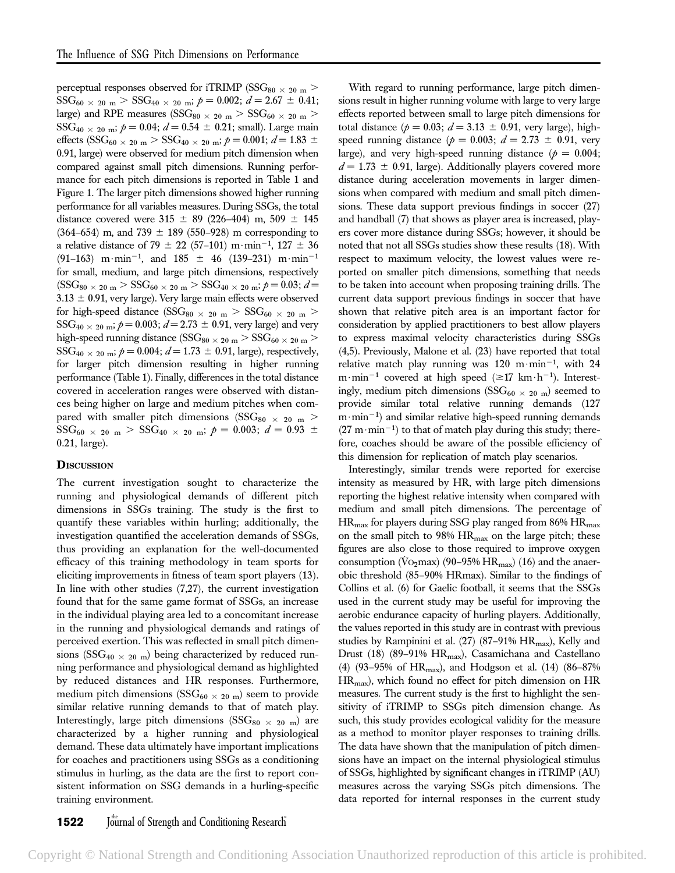perceptual responses observed for iTRIMP (SSG<sub>80  $\times$  20 m</sub>  $>$  $SSG_{60} \times 20 \text{ m} > SSG_{40} \times 20 \text{ m}; \ p = 0.002; d = 2.67 \pm 0.41;$ large) and RPE measures (SSG<sub>80  $\times$  20 m  $>$  SSG<sub>60</sub>  $\times$  20 m  $>$ </sub>  $SSG_{40} \times 20 \text{ m}; \ p = 0.04; d = 0.54 \pm 0.21; \text{ small}.$  Large main effects (SSG<sub>60  $\times$  20 m  $>$  SSG<sub>40</sub>  $\times$  20 m;  $p = 0.001$ ;  $d = 1.83 \pm$ </sub> 0.91, large) were observed for medium pitch dimension when compared against small pitch dimensions. Running performance for each pitch dimensions is reported in Table 1 and Figure 1. The larger pitch dimensions showed higher running performance for all variables measures. During SSGs, the total distance covered were  $315 \pm 89$  (226–404) m, 509  $\pm$  145  $(364–654)$  m, and  $739 \pm 189$  (550–928) m corresponding to a relative distance of 79  $\pm$  22 (57–101) m $\cdot$ min<sup>-1</sup>, 127  $\pm$  36 (91–163) m·min<sup>-1</sup>, and 185  $\pm$  46 (139–231) m·min<sup>-1</sup> for small, medium, and large pitch dimensions, respectively  $(SSG_{80} \times 20 \text{ m} > SSG_{60} \times 20 \text{ m} > SSG_{40} \times 20 \text{ m}; \rho = 0.03; d =$  $3.13 \pm 0.91$ , very large). Very large main effects were observed for high-speed distance (SSG<sub>80  $\times$  20 m  $>$  SSG<sub>60</sub>  $\times$  20 m  $>$ </sub>  $SSG_{40} \times 20 \text{ m}; \rho = 0.003; d = 2.73 \pm 0.91$ , very large) and very high-speed running distance (SSG<sub>80  $\times$  20 m</sub>  $>$  SSG<sub>60</sub>  $\times$  20 m  $>$ SSG<sub>40</sub>  $\times$  20 m;  $p = 0.004$ ;  $d = 1.73 \pm 0.91$ , large), respectively, for larger pitch dimension resulting in higher running performance (Table 1). Finally, differences in the total distance covered in acceleration ranges were observed with distances being higher on large and medium pitches when compared with smaller pitch dimensions (SSG<sub>80  $\times$  20 m</sub>  $>$  $SSG_{60} \times 20 \text{ m} > SSG_{40} \times 20 \text{ m}; p = 0.003; d = 0.93 \pm 0.003$ 0.21, large).

## **DISCUSSION**

The current investigation sought to characterize the running and physiological demands of different pitch dimensions in SSGs training. The study is the first to quantify these variables within hurling; additionally, the investigation quantified the acceleration demands of SSGs, thus providing an explanation for the well-documented efficacy of this training methodology in team sports for eliciting improvements in fitness of team sport players (13). In line with other studies  $(7,27)$ , the current investigation found that for the same game format of SSGs, an increase in the individual playing area led to a concomitant increase in the running and physiological demands and ratings of perceived exertion. This was reflected in small pitch dimensions (SSG<sub>40  $\times$  20 m) being characterized by reduced run-</sub> ning performance and physiological demand as highlighted by reduced distances and HR responses. Furthermore, medium pitch dimensions (SSG<sub>60  $\times$  20 m)</sub> seem to provide similar relative running demands to that of match play. Interestingly, large pitch dimensions (SSG<sub>80  $\times$  20 m)</sub> are characterized by a higher running and physiological demand. These data ultimately have important implications for coaches and practitioners using SSGs as a conditioning stimulus in hurling, as the data are the first to report consistent information on SSG demands in a hurling-specific training environment.

With regard to running performance, large pitch dimensions result in higher running volume with large to very large effects reported between small to large pitch dimensions for total distance ( $p = 0.03$ ;  $d = 3.13 \pm 0.91$ , very large), highspeed running distance ( $p = 0.003$ ;  $d = 2.73 \pm 0.91$ , very large), and very high-speed running distance ( $p = 0.004$ ;  $d = 1.73 \pm 0.91$ , large). Additionally players covered more distance during acceleration movements in larger dimensions when compared with medium and small pitch dimensions. These data support previous findings in soccer (27) and handball (7) that shows as player area is increased, players cover more distance during SSGs; however, it should be noted that not all SSGs studies show these results (18). With respect to maximum velocity, the lowest values were reported on smaller pitch dimensions, something that needs to be taken into account when proposing training drills. The current data support previous findings in soccer that have shown that relative pitch area is an important factor for consideration by applied practitioners to best allow players to express maximal velocity characteristics during SSGs (4,5). Previously, Malone et al. (23) have reported that total relative match play running was 120 m·min<sup>-1</sup>, with 24 m·min<sup>-1</sup> covered at high speed ( $\geq$ 17 km·h<sup>-1</sup>). Interestingly, medium pitch dimensions (SSG<sub>60  $\times$  20 m</sub>) seemed to provide similar total relative running demands (127  $m \cdot min^{-1}$ ) and similar relative high-speed running demands  $(27 \text{ m}\cdot\text{min}^{-1})$  to that of match play during this study; therefore, coaches should be aware of the possible efficiency of this dimension for replication of match play scenarios.

Interestingly, similar trends were reported for exercise intensity as measured by HR, with large pitch dimensions reporting the highest relative intensity when compared with medium and small pitch dimensions. The percentage of  $HR_{\text{max}}$  for players during SSG play ranged from 86% HR<sub>max</sub> on the small pitch to 98%  $HR_{max}$  on the large pitch; these figures are also close to those required to improve oxygen consumption ( $\rm\dot{Vo}_{2}$ max) (90–95% HR<sub>max</sub>) (16) and the anaerobic threshold (85–90% HRmax). Similar to the findings of Collins et al. (6) for Gaelic football, it seems that the SSGs used in the current study may be useful for improving the aerobic endurance capacity of hurling players. Additionally, the values reported in this study are in contrast with previous studies by Rampinini et al.  $(27)$   $(87-91\% \text{ HR}_{\text{max}})$ , Kelly and Drust (18) (89–91%  $HR_{max}$ ), Casamichana and Castellano (4) (93-95% of HR<sub>max</sub>), and Hodgson et al. (14) (86-87%  $HR_{\text{max}}$ , which found no effect for pitch dimension on HR measures. The current study is the first to highlight the sensitivity of iTRIMP to SSGs pitch dimension change. As such, this study provides ecological validity for the measure as a method to monitor player responses to training drills. The data have shown that the manipulation of pitch dimensions have an impact on the internal physiological stimulus of SSGs, highlighted by significant changes in iTRIMP (AU) measures across the varying SSGs pitch dimensions. The data reported for internal responses in the current study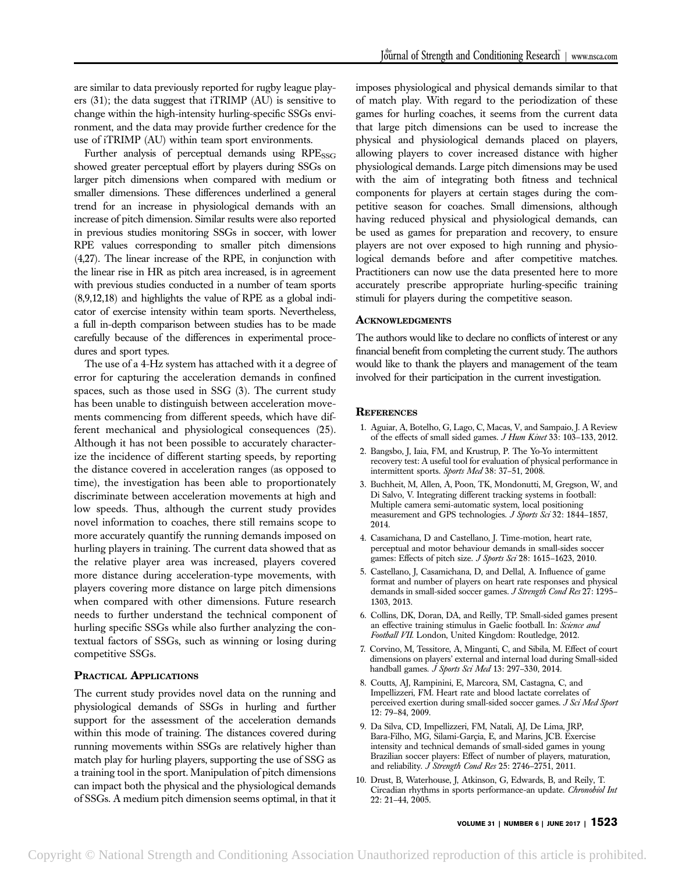are similar to data previously reported for rugby league players (31); the data suggest that iTRIMP (AU) is sensitive to change within the high-intensity hurling-specific SSGs environment, and the data may provide further credence for the use of iTRIMP (AU) within team sport environments.

Further analysis of perceptual demands using  $RPE_{SSG}$ showed greater perceptual effort by players during SSGs on larger pitch dimensions when compared with medium or smaller dimensions. These differences underlined a general trend for an increase in physiological demands with an increase of pitch dimension. Similar results were also reported in previous studies monitoring SSGs in soccer, with lower RPE values corresponding to smaller pitch dimensions (4,27). The linear increase of the RPE, in conjunction with the linear rise in HR as pitch area increased, is in agreement with previous studies conducted in a number of team sports (8,9,12,18) and highlights the value of RPE as a global indicator of exercise intensity within team sports. Nevertheless, a full in-depth comparison between studies has to be made carefully because of the differences in experimental procedures and sport types.

The use of a 4-Hz system has attached with it a degree of error for capturing the acceleration demands in confined spaces, such as those used in SSG (3). The current study has been unable to distinguish between acceleration movements commencing from different speeds, which have different mechanical and physiological consequences (25). Although it has not been possible to accurately characterize the incidence of different starting speeds, by reporting the distance covered in acceleration ranges (as opposed to time), the investigation has been able to proportionately discriminate between acceleration movements at high and low speeds. Thus, although the current study provides novel information to coaches, there still remains scope to more accurately quantify the running demands imposed on hurling players in training. The current data showed that as the relative player area was increased, players covered more distance during acceleration-type movements, with players covering more distance on large pitch dimensions when compared with other dimensions. Future research needs to further understand the technical component of hurling specific SSGs while also further analyzing the contextual factors of SSGs, such as winning or losing during competitive SSGs.

# PRACTICAL APPLICATIONS

The current study provides novel data on the running and physiological demands of SSGs in hurling and further support for the assessment of the acceleration demands within this mode of training. The distances covered during running movements within SSGs are relatively higher than match play for hurling players, supporting the use of SSG as a training tool in the sport. Manipulation of pitch dimensions can impact both the physical and the physiological demands of SSGs. A medium pitch dimension seems optimal, in that it imposes physiological and physical demands similar to that of match play. With regard to the periodization of these games for hurling coaches, it seems from the current data that large pitch dimensions can be used to increase the physical and physiological demands placed on players, allowing players to cover increased distance with higher physiological demands. Large pitch dimensions may be used with the aim of integrating both fitness and technical components for players at certain stages during the competitive season for coaches. Small dimensions, although having reduced physical and physiological demands, can be used as games for preparation and recovery, to ensure players are not over exposed to high running and physiological demands before and after competitive matches. Practitioners can now use the data presented here to more accurately prescribe appropriate hurling-specific training stimuli for players during the competitive season.

### ACKNOWLEDGMENTS

The authors would like to declare no conflicts of interest or any financial benefit from completing the current study. The authors would like to thank the players and management of the team involved for their participation in the current investigation.

### **REFERENCES**

- 1. Aguiar, A, Botelho, G, Lago, C, Macas, V, and Sampaio, J. A Review of the effects of small sided games. J Hum Kinet 33: 103–133, 2012.
- 2. Bangsbo, J, Iaia, FM, and Krustrup, P. The Yo-Yo intermittent recovery test: A useful tool for evaluation of physical performance in intermittent sports. Sports Med 38: 37-51, 2008.
- 3. Buchheit, M, Allen, A, Poon, TK, Mondonutti, M, Gregson, W, and Di Salvo, V. Integrating different tracking systems in football: Multiple camera semi-automatic system, local positioning measurement and GPS technologies. J Sports Sci 32: 1844-1857, 2014.
- 4. Casamichana, D and Castellano, J. Time-motion, heart rate, perceptual and motor behaviour demands in small-sides soccer games: Effects of pitch size. J Sports Sci 28: 1615-1623, 2010.
- 5. Castellano, J, Casamichana, D, and Dellal, A. Influence of game format and number of players on heart rate responses and physical demands in small-sided soccer games. J Strength Cond Res 27: 1295-1303, 2013.
- 6. Collins, DK, Doran, DA, and Reilly, TP. Small-sided games present an effective training stimulus in Gaelic football. In: Science and Football VII. London, United Kingdom: Routledge, 2012.
- 7. Corvino, M, Tessitore, A, Minganti, C, and Sibila, M. Effect of court dimensions on players' external and internal load during Small-sided handball games. *J Sports Sci Med* 13: 297-330, 2014.
- 8. Coutts, AJ, Rampinini, E, Marcora, SM, Castagna, C, and Impellizzeri, FM. Heart rate and blood lactate correlates of perceived exertion during small-sided soccer games. J Sci Med Sport 12: 79–84, 2009.
- 9. Da Silva, CD, Impellizzeri, FM, Natali, AJ, De Lima, JRP, Bara-Filho, MG, Silami-Garcia, E, and Marins, JCB. Exercise intensity and technical demands of small-sided games in young Brazilian soccer players: Effect of number of players, maturation, and reliability. *J Strength Cond Res* 25: 2746–2751, 2011.
- 10. Drust, B, Waterhouse, J, Atkinson, G, Edwards, B, and Reily, T. Circadian rhythms in sports performance-an update. Chronobiol Int 22: 21–44, 2005.

VOLUME 31 | NUMBER 6 | JUNE 2017 | 1523